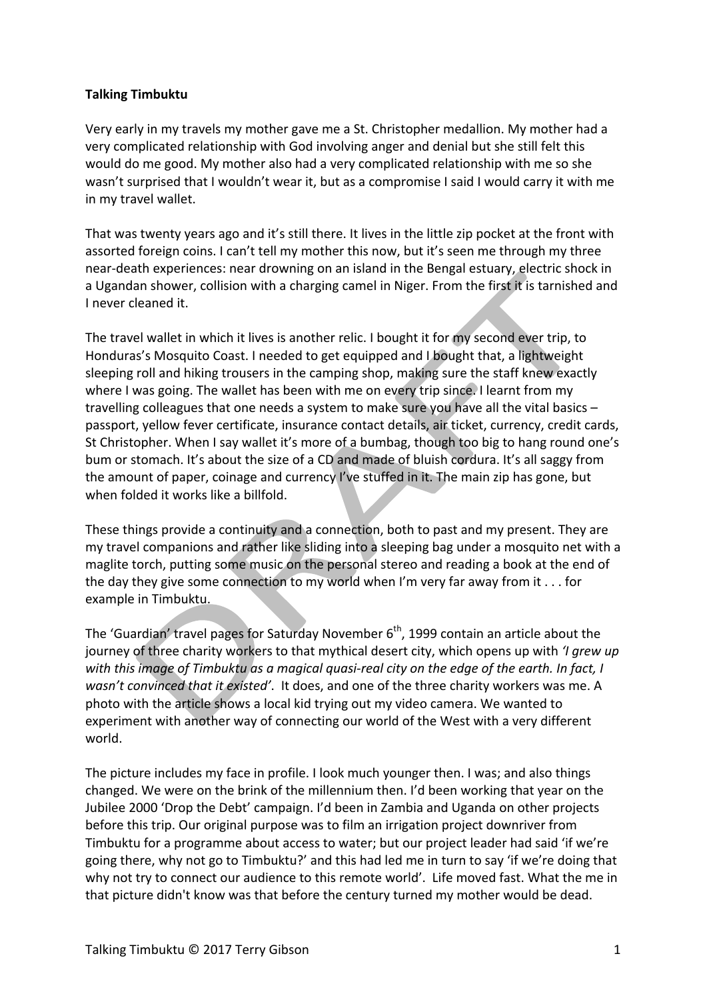## **Talking Timbuktu**

Very early in my travels my mother gave me a St. Christopher medallion. My mother had a very complicated relationship with God involving anger and denial but she still felt this would do me good. My mother also had a very complicated relationship with me so she wasn't surprised that I wouldn't wear it, but as a compromise I said I would carry it with me in my travel wallet.

That was twenty years ago and it's still there. It lives in the little zip pocket at the front with assorted foreign coins. I can't tell my mother this now, but it's seen me through my three near-death experiences: near drowning on an island in the Bengal estuary, electric shock in a Ugandan shower, collision with a charging camel in Niger. From the first it is tarnished and I never cleaned it.

The travel wallet in which it lives is another relic. I bought it for my second ever trip, to Honduras's Mosquito Coast. I needed to get equipped and I bought that, a lightweight sleeping roll and hiking trousers in the camping shop, making sure the staff knew exactly where I was going. The wallet has been with me on every trip since. I learnt from my travelling colleagues that one needs a system to make sure you have all the vital basics  $$ passport, yellow fever certificate, insurance contact details, air ticket, currency, credit cards, St Christopher. When I say wallet it's more of a bumbag, though too big to hang round one's bum or stomach. It's about the size of a CD and made of bluish cordura. It's all saggy from the amount of paper, coinage and currency I've stuffed in it. The main zip has gone, but when folded it works like a billfold.

These things provide a continuity and a connection, both to past and my present. They are my travel companions and rather like sliding into a sleeping bag under a mosquito net with a maglite torch, putting some music on the personal stereo and reading a book at the end of the day they give some connection to my world when I'm very far away from it  $\dots$  for example in Timbuktu.

The 'Guardian' travel pages for Saturday November  $6<sup>th</sup>$ , 1999 contain an article about the journey of three charity workers to that mythical desert city, which opens up with *'I grew up* with this image of Timbuktu as a magical quasi-real city on the edge of the earth. In fact, I wasn't convinced that it existed'. It does, and one of the three charity workers was me. A photo with the article shows a local kid trying out my video camera. We wanted to experiment with another way of connecting our world of the West with a very different world.

The picture includes my face in profile. I look much younger then. I was; and also things changed. We were on the brink of the millennium then. I'd been working that year on the Jubilee 2000 'Drop the Debt' campaign. I'd been in Zambia and Uganda on other projects before this trip. Our original purpose was to film an irrigation project downriver from Timbuktu for a programme about access to water; but our project leader had said 'if we're going there, why not go to Timbuktu?' and this had led me in turn to say 'if we're doing that why not try to connect our audience to this remote world'. Life moved fast. What the me in that picture didn't know was that before the century turned my mother would be dead.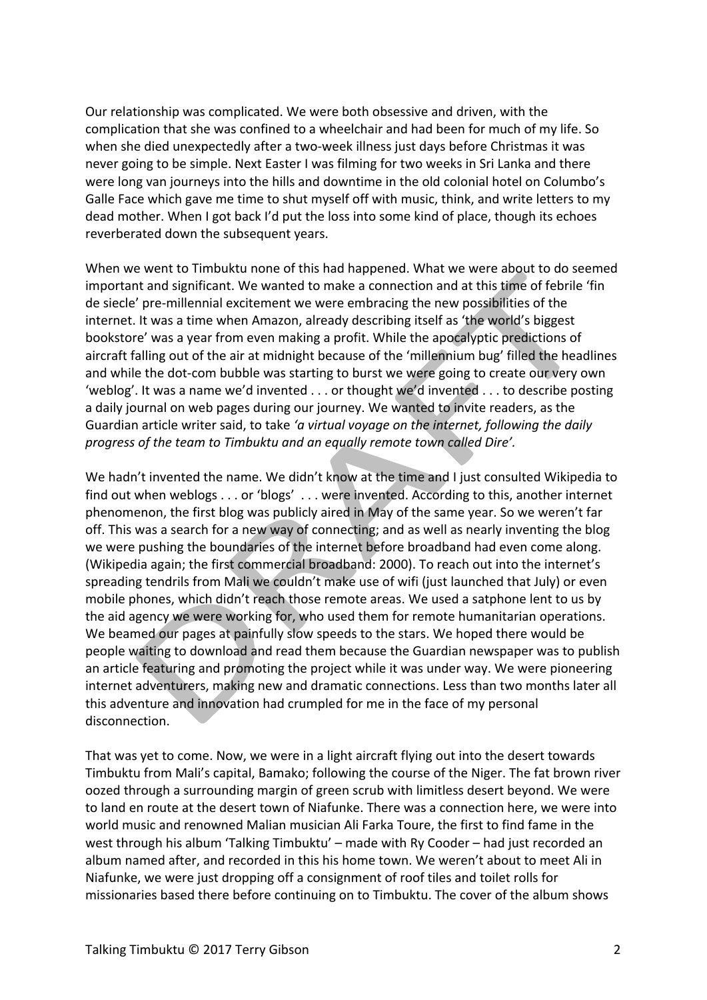Our relationship was complicated. We were both obsessive and driven, with the complication that she was confined to a wheelchair and had been for much of my life. So when she died unexpectedly after a two-week illness just days before Christmas it was never going to be simple. Next Easter I was filming for two weeks in Sri Lanka and there were long van journeys into the hills and downtime in the old colonial hotel on Columbo's Galle Face which gave me time to shut myself off with music, think, and write letters to my dead mother. When I got back I'd put the loss into some kind of place, though its echoes reverberated down the subsequent years.

When we went to Timbuktu none of this had happened. What we were about to do seemed important and significant. We wanted to make a connection and at this time of febrile 'fin de siecle' pre-millennial excitement we were embracing the new possibilities of the internet. It was a time when Amazon, already describing itself as 'the world's biggest bookstore' was a year from even making a profit. While the apocalyptic predictions of aircraft falling out of the air at midnight because of the 'millennium bug' filled the headlines and while the dot-com bubble was starting to burst we were going to create our very own 'weblog'. It was a name we'd invented  $\dots$  or thought we'd invented  $\dots$  to describe posting a daily journal on web pages during our journey. We wanted to invite readers, as the Guardian article writer said, to take 'a virtual voyage on the internet, following the daily progress of the team to Timbuktu and an equally remote town called Dire'.

We hadn't invented the name. We didn't know at the time and I just consulted Wikipedia to find out when weblogs . . . or 'blogs' . . . were invented. According to this, another internet phenomenon, the first blog was publicly aired in May of the same year. So we weren't far off. This was a search for a new way of connecting; and as well as nearly inventing the blog we were pushing the boundaries of the internet before broadband had even come along. (Wikipedia again; the first commercial broadband: 2000). To reach out into the internet's spreading tendrils from Mali we couldn't make use of wifi (just launched that July) or even mobile phones, which didn't reach those remote areas. We used a satphone lent to us by the aid agency we were working for, who used them for remote humanitarian operations. We beamed our pages at painfully slow speeds to the stars. We hoped there would be people waiting to download and read them because the Guardian newspaper was to publish an article featuring and promoting the project while it was under way. We were pioneering internet adventurers, making new and dramatic connections. Less than two months later all this adventure and innovation had crumpled for me in the face of my personal disconnection.

That was yet to come. Now, we were in a light aircraft flying out into the desert towards Timbuktu from Mali's capital, Bamako; following the course of the Niger. The fat brown river oozed through a surrounding margin of green scrub with limitless desert beyond. We were to land en route at the desert town of Niafunke. There was a connection here, we were into world music and renowned Malian musician Ali Farka Toure, the first to find fame in the west through his album 'Talking Timbuktu' – made with Ry Cooder – had just recorded an album named after, and recorded in this his home town. We weren't about to meet Ali in Niafunke, we were just dropping off a consignment of roof tiles and toilet rolls for missionaries based there before continuing on to Timbuktu. The cover of the album shows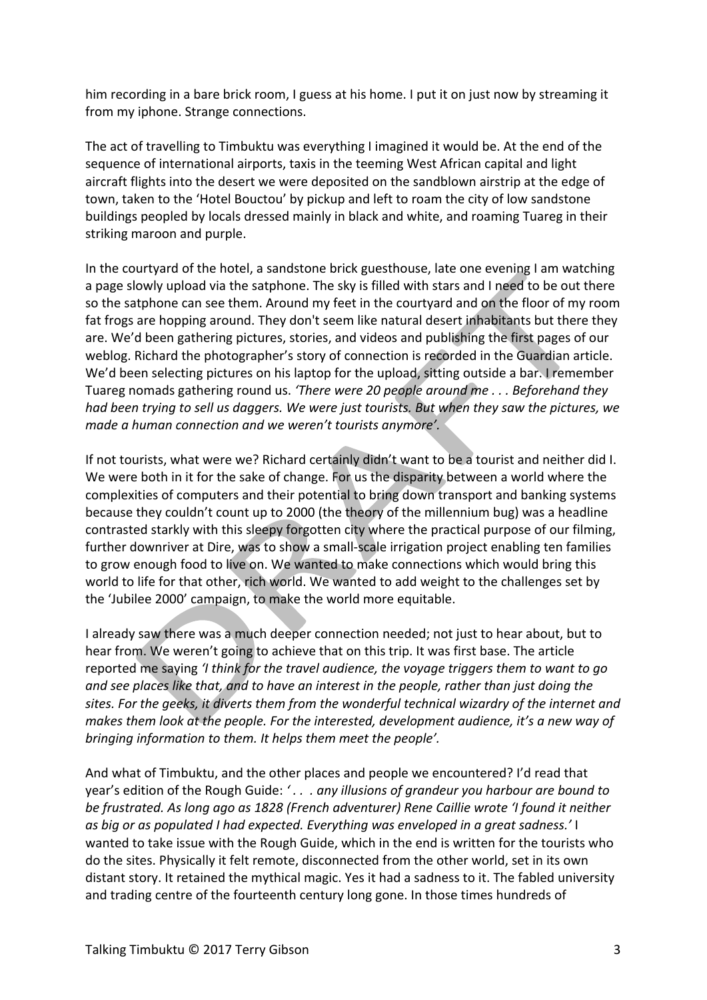him recording in a bare brick room, I guess at his home. I put it on just now by streaming it from my iphone. Strange connections.

The act of travelling to Timbuktu was everything I imagined it would be. At the end of the sequence of international airports, taxis in the teeming West African capital and light aircraft flights into the desert we were deposited on the sandblown airstrip at the edge of town, taken to the 'Hotel Bouctou' by pickup and left to roam the city of low sandstone buildings peopled by locals dressed mainly in black and white, and roaming Tuareg in their striking maroon and purple.

In the courtyard of the hotel, a sandstone brick guesthouse, late one evening I am watching a page slowly upload via the satphone. The sky is filled with stars and I need to be out there so the satphone can see them. Around my feet in the courtyard and on the floor of my room fat frogs are hopping around. They don't seem like natural desert inhabitants but there they are. We'd been gathering pictures, stories, and videos and publishing the first pages of our weblog. Richard the photographer's story of connection is recorded in the Guardian article. We'd been selecting pictures on his laptop for the upload, sitting outside a bar. I remember Tuareg nomads gathering round us. 'There were 20 people around me . . . Beforehand they *had been trying to sell us daggers. We were just tourists. But when they saw the pictures, we made a human connection and we weren't tourists anymore'.* 

If not tourists, what were we? Richard certainly didn't want to be a tourist and neither did I. We were both in it for the sake of change. For us the disparity between a world where the complexities of computers and their potential to bring down transport and banking systems because they couldn't count up to 2000 (the theory of the millennium bug) was a headline contrasted starkly with this sleepy forgotten city where the practical purpose of our filming, further downriver at Dire, was to show a small-scale irrigation project enabling ten families to grow enough food to live on. We wanted to make connections which would bring this world to life for that other, rich world. We wanted to add weight to the challenges set by the 'Jubilee 2000' campaign, to make the world more equitable.

I already saw there was a much deeper connection needed; not just to hear about, but to hear from. We weren't going to achieve that on this trip. It was first base. The article reported me saying 'I think for the travel audience, the voyage triggers them to want to go and see places like that, and to have an interest in the people, rather than just doing the sites. For the geeks, it diverts them from the wonderful technical wizardry of the internet and makes them look at the people. For the interested, development audience, it's a new way of *bringing information to them. It helps them meet the people'.* 

And what of Timbuktu, and the other places and people we encountered? I'd read that year's edition of the Rough Guide: '.. . any *illusions of grandeur you harbour are bound to* be frustrated. As long ago as 1828 (French adventurer) Rene Caillie wrote 'I found it neither as big or as populated I had expected. Everything was enveloped in a great sadness.' I wanted to take issue with the Rough Guide, which in the end is written for the tourists who do the sites. Physically it felt remote, disconnected from the other world, set in its own distant story. It retained the mythical magic. Yes it had a sadness to it. The fabled university and trading centre of the fourteenth century long gone. In those times hundreds of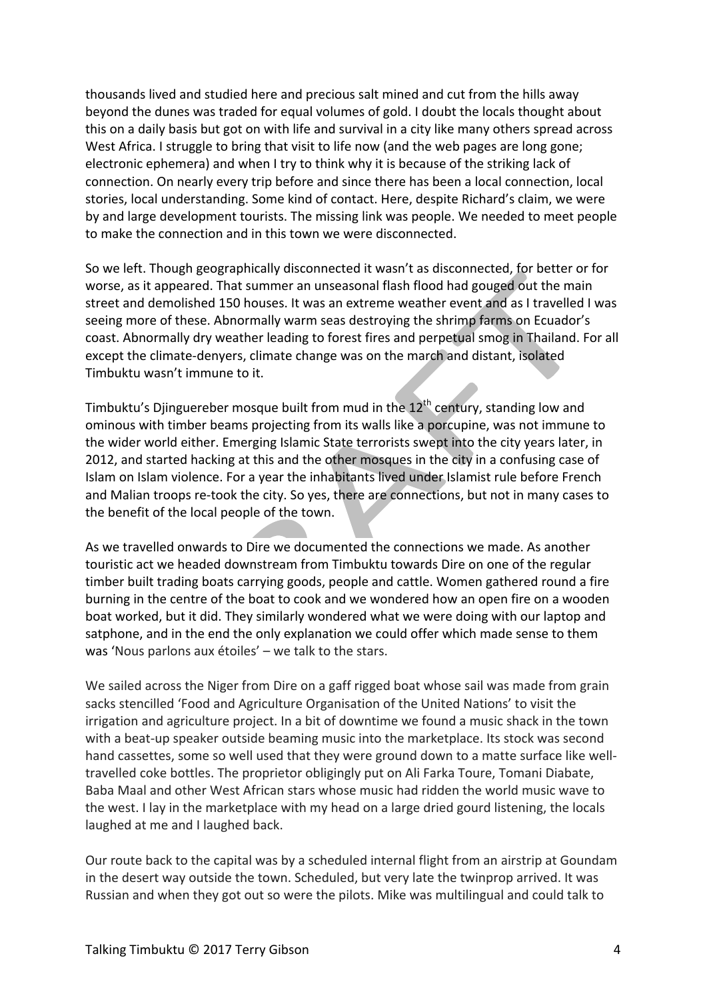thousands lived and studied here and precious salt mined and cut from the hills away beyond the dunes was traded for equal volumes of gold. I doubt the locals thought about this on a daily basis but got on with life and survival in a city like many others spread across West Africa. I struggle to bring that visit to life now (and the web pages are long gone; electronic ephemera) and when I try to think why it is because of the striking lack of connection. On nearly every trip before and since there has been a local connection, local stories, local understanding. Some kind of contact. Here, despite Richard's claim, we were by and large development tourists. The missing link was people. We needed to meet people to make the connection and in this town we were disconnected.

So we left. Though geographically disconnected it wasn't as disconnected, for better or for worse, as it appeared. That summer an unseasonal flash flood had gouged out the main street and demolished 150 houses. It was an extreme weather event and as I travelled I was seeing more of these. Abnormally warm seas destroying the shrimp farms on Ecuador's coast. Abnormally dry weather leading to forest fires and perpetual smog in Thailand. For all except the climate-denyers, climate change was on the march and distant, isolated Timbuktu wasn't immune to it.

Timbuktu's Djinguereber mosque built from mud in the  $12<sup>th</sup>$  century, standing low and ominous with timber beams projecting from its walls like a porcupine, was not immune to the wider world either. Emerging Islamic State terrorists swept into the city years later, in 2012, and started hacking at this and the other mosques in the city in a confusing case of Islam on Islam violence. For a year the inhabitants lived under Islamist rule before French and Malian troops re-took the city. So yes, there are connections, but not in many cases to the benefit of the local people of the town.

As we travelled onwards to Dire we documented the connections we made. As another touristic act we headed downstream from Timbuktu towards Dire on one of the regular timber built trading boats carrying goods, people and cattle. Women gathered round a fire burning in the centre of the boat to cook and we wondered how an open fire on a wooden boat worked, but it did. They similarly wondered what we were doing with our laptop and satphone, and in the end the only explanation we could offer which made sense to them was 'Nous parlons aux étoiles' – we talk to the stars.

We sailed across the Niger from Dire on a gaff rigged boat whose sail was made from grain sacks stencilled 'Food and Agriculture Organisation of the United Nations' to visit the irrigation and agriculture project. In a bit of downtime we found a music shack in the town with a beat-up speaker outside beaming music into the marketplace. Its stock was second hand cassettes, some so well used that they were ground down to a matte surface like welltravelled coke bottles. The proprietor obligingly put on Ali Farka Toure, Tomani Diabate, Baba Maal and other West African stars whose music had ridden the world music wave to the west. I lay in the marketplace with my head on a large dried gourd listening, the locals laughed at me and I laughed back.

Our route back to the capital was by a scheduled internal flight from an airstrip at Goundam in the desert way outside the town. Scheduled, but very late the twinprop arrived. It was Russian and when they got out so were the pilots. Mike was multilingual and could talk to